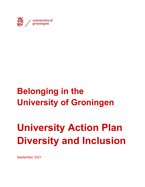

# **Belonging in the University of Groningen**

# **University Action Plan Diversity and Inclusion**

September 2021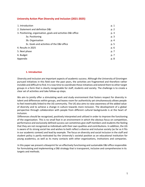# **University Action Plan Diversity and Inclusion (2021-2025)**

| 1. Introduction                                               | p. 1 |
|---------------------------------------------------------------|------|
| 2. Statement and definition D&I                               | p. 2 |
| 3. Positioning, organisation, goals and activities D&I office | p. 3 |
| 3a. Positioning                                               | p. 3 |
| 3b. Organisation                                              | p. 4 |
| 3c. Goals and activities of the D&I office                    | p. 5 |
| 4. Results in 2025                                            | p. 6 |
| 5. Next phase                                                 | p. 7 |
| 6. Budget                                                     | p. 7 |
| Appendix                                                      | p. 8 |

#### **1. Introduction**

Diversity and inclusion are important aspects of academic success. Although the University of Groningen pursued initiatives in this field over the past years, the activities are fragmented and therefore rather invisible and difficult to find. It is now time to coordinate these initiatives and extend them to other target groups in a form that is clearly recognizable for staff, students and society. The challenge is to create a clear set of activities and take follow-up steps.

We aim to jointly offer a stimulating work and study environment that fosters respect for diversity in talent and differences within groups, and leaves room for authenticity yet simultaneously allows people to feel inextricably linked to the UG community. The UG also aims to raise awareness of the added value of diversity and to achieve a change in culture towards more inclusion. The development of a global perspective through collaboration with people from different cultural backgrounds is at the heart of inclusion.

Differences should be recognized, positively interpreted and utilized in order to improve the functioning of the organization. This is no small feat in an environment in which the obvious focus on competition, performance and exclusively defined success can sometimes give staff members and students the feeling that they are not recognized as individuals with their own qualities and contributions. In addition, the UG is aware of its strong social ties and wishes to both reflect a diverse and inclusive society (as far as it fits in our academic context) and lead by example. The focus on diversity and social inclusion in the staff and student policy is partly motivated by the University's societal position as an educational institution for young academics, as well as its many contacts with other organizations, institutions and companies.

In this paper we present a blueprint for an effectively functioning and sustainable D&I office responsible for formulating and implementing a D&I strategy that is transparent, inclusive and comprehensive in its targets and methods.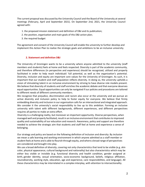The current proposal was discussed by the University Council and the Board of the University at several meetings (February, April and September 2021). On September 2nd, 2021, the University Council agreed with:

- 1. the proposed mission statement and definition of D&I and its publication;
- 2. the position, organisation and main goals of this D&I action plan;
- 3. the required budget

The agreement and consent of the University Council will enable the university to further develop and implement this Action Plan to realize the strategic goals and ambitions to be an inclusive university.

#### **2. Statement and definition D&I**

The University of Groningen wants to be a university where anyone admitted to the university (staff members and students) feels at home and feels respected. Diversity is part of the academic community, and therefore differences (in perspective and experience) should be recognized, utilized and properly facilitated in order to help reach individuals' full potential, as well as the organization's potential. Diversity, inclusion and equity are important core values for the University of Groningen. As such, it is important that our student and staff population reflects diversity. In doing so, the university upholds a vision of stimulating talent in an inclusive environment by striving to have diverse role models present. We believe that diversity of students and staff enriches the academic debate and that everyone deserves equal opportunities. Equal opportunities can only be navigated if our policies and procedures are tailored to different needs of different community members.

We recognize that prejudice, discrimination and racism also occur at the university and we pursue an active diversity and inclusion policy to help to foster equity for everyone. We believe that firmly embedding diversity and inclusion in our organisation calls for an intersectional and integrated approach. We consider it the university's social responsibility to live up to this ambition. Forming an inclusive university with talent with different backgrounds, different experiences, and different perspectives requires all parties to make an extra effort.

Diversity is a challenging reality, but moreover an important opportunity. Diverse perspectives, when managed well and properly facilitated, result in an inclusive environment that contributesto improved quality and sustainability of our education and research. Awareness, policy and support are therefore needed to achieve the strategic aim that students and staff feel at home and experience a sense of belonging.

Our strategy and policy are based on the following definition of inclusion and diversity: By *inclusion*  we mean a safe learning and working environment in which anyone admitted as a staff member or student feels at home and is able to flourish through equity, and where a broad range of perspectives are considered and brought into play.

We use a broad definition of *diversity*, covering not only characteristics that tend to be visible (e.g. skin color, physical appearance, cultural background and nationality) but also characteristics which may be either less visible or invisible (e.g. functional diversity and health condition, gender assigned at birth, gender identity, sexual orientation, socio-economic background, beliefs, religious affiliation, neurodiversity, working style, education, age and experience, care responsibilities, and language). All these characteristics may be interrelated in a complex interplay, with attention to intersectionality.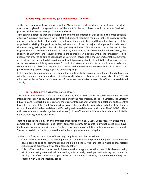#### **3. Positioning, organisation, goals and activities D&I office**

In this section several topics concerning the D&I office are addressed in general. A more detailed description is given in the appendix and will be input for the next phase, in which a broader feedback process will be created amongst students and staff.

How can we guarantee that the development and implementation of D&I policy in the organization is effective? Inclusion and equity for all staff and student members requires that D&I policy is firmly anchored in the attitudes of all and in the culture of the organization, and thus in the structures of the organization. Making changes in attitudes, behavior and culture is a major challenge, and in order to do this effectively, D&I policy (like all other policies) and the D&I office must be embedded in the organizational structure of the university. After all, if you want to be able to implement D&I policy, the support of university and faculty boards is indispensable. A position within the university is also necessary in order to be able to coordinate all existing initiatives within the university. At the same time, external eyes are needed to take a critical look and think along about policy. It is therefore proposed to set up an external advisory committee / board of trustees in addition to a broad internal advisory committee and to allow as many voices as possible within the university to contribute ideas about D&I policy by setting up working groups and advocacy groups.

Just as in other Dutch universities, we should find a balance between policy development and interaction with the community and supporting their initiatives to achieve real changes (in university culture). This is what we can learn from the approaches of the other universities, where D&I offices are established already.

#### **3a. Positioning** vis-à-vis other, related officers:

D&I policy development is not an isolated domain, but is also part of research, education, HR and internationalisation policy, which is developed under the responsibility of the HR Director, the Strategy Education and Research Policy Directors, the Director International Strategy and Relations on the central level. It is the task of the Chief Diversity & Inclusion Officer (as the figurehead and initiator of this theme) to coordinate all initiatives and develop D&I policy in close collaboration with them. The Chief D&I officer will therefore work closely together with other (policy) officers with different, but related work fields. Regular meetings will be organised.

Both the confidential advisor and ombudsperson (appointed on 1 Sept. 2021) focus on questions or complaints of a confidential (and often personal) nature. Of course individual cases may have implications for policy, and vice versa. For this reason, regular consultation and coordination is required. The same holds for a fruitful cooperation with the programme leader Integrity.

In short, the focus of the various officers may roughly be described as follows:

- Chief D&I officer: initiates the development of D&I policy and helps embedding this policy in newly developed and existing instruments, and will build up the (virtual) D&I office where all D&I related initiatives and expertise on this topic come together.
- Policy officers (education, research, international strategy and relations, and HR): develop policy within their policy area and help embedding this in newly developed and existing instruments. - Faculty D&I officers: the contact person within the faculty, trusted by the faculty community and charged with D&I and integrity issues.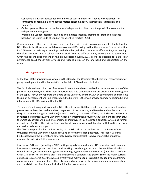- Confidential advisor: advisor for the individual staff member or student with questions or complaints concerning a confidential matter (discrimination, intimidation, aggression and violence).
- Ombudsperson: likewise, but with a more independent position, and the possibility to conduct an independent investigation.
- Programme Leader Integrity: develops and initiates Integrity Training for staff and students, based on the Dutch Code of Conduct for Scientific Practice (2018).

Conclusion: each officer has their own focus, but there will remain areas of overlap. It is the task of the D&I officer to link these areas and develop a coherent D&I policy, so that there is more focused attention for D&I issues and existing proceedings can be bundled, which makes it more effective. Regular meetings therefore are necessary to collaborate with staff from the different units, working on the same topic. Given the recent appointment of the ombudsperson (Sept.2021), it will be possible to make clear agreements about the division of tasks and responsibilities on the one hand and cooperation on the other.

#### **3b. Organisation**

At the level of the university as a whole it is the Board of the University that bears final responsibility for policy development and implementation in the field of Diversity and Inclusion.

The faculty boards and directors of service units are ultimately responsible for the implementation of the policy in their faculty/unit. Their most important role is to continuously ensure attention for the urgency of the topic. They yearly report to the Board of the University and the CDIO. By coordinating and directing the policy development and implementation, the Chief D&I Officer can provide an important stimulus and integration of the D&I policy within the UG.

For a well-functioning and sustainable D&I office it is essential that good contacts are established and guaranteed with on the one hand the management of the university and faculties and on the other hand the grassroots level. Together with the (virtual) D&I office, faculty D&I officers, faculty boards and experts in related fields (integrity, Pre-University Academy, information provision, education and research etc.), the Chief D&I Officer will be able to combine all initiatives in this field into a coherent whole and further expand this. The D&I office will facilitate a network organisation in collaboration with faculties, services, and various advocacy groups.

The CDIO is responsible for the functioning of the D&I office, and will report to the Board of the University and the University Council about its performance each past year. This report will first be discussed with the internal and external advisory committee(s). To have meaningful impact we propose the following D&I organisation:

i. A central D&I team (including a CDIO, with policy advisors in domains HR, education and research, international strategy and relations, and working closely together with the confidential advisor, ombudsperson, programme manager scientific integrity; communication expertise). It is the task of the Chief D&I officer to link these areas and implement a coherent D&I policy. Since the many current activities are scattered over the whole university and many people, support is needed by a programme coördinator and communications officer. To create changes within the university, open communication and the visibility of diversity and inclusion initiatives are essential.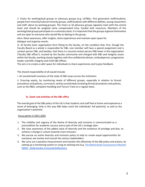ii. Chairs for working/task groups or advocacy groups (e.g. LGTBQ+, first generation staff/students, people from minority/cultural minority groups, staff/students with different abilities, young researchers and staff: about six working groups). The chairs or all advocacy groups regularly meet with the central team and should be assigned some compensated time, funded with resources. Members of the working/task groups participate on a voluntary basis. It is important that the groups organize themselves and are open to everyone who would like to belong to the group.

Aims: Raise awareness, offer insights, share experiences and maintain open space for dialogue and organize events.

iii. At faculty level: organisation form fitting to the faculty, on the condition that, first, though the Faculty Board as a whole is responsible for D&I, one member will have a special assignment and is contact person D&I, and besides, that there is a second contact person D&I lower in the organisation ('faculty D&I officer'), trusted by the faculty community and charged with D&I and integrity issues within the faculty, working closely together with the confidential advisor, ombudsperson, programme leader scientific integrity and Chief D&I Officer.

The aim is to create a safer space for individuals to share experiences and to give feedback.

The shared responsibility of all would include:

i. An (unsolicited) inventory of the state of D&I issues across the institution

ii. Ensuring equity, by monitoring needs of different groups, especially in relation to formal procedures and policies, curriculum, and by (unsolicited) reviewing formal procedures and policies, such as the R&O, complaint handling and Tenure Track on a regular basis.

# **3c. Goals and activities of the D&I office**

The overall goal of the D&I policy of the UG is that students and staff feel at home and experience a sense of belonging. Only in this way D&I helps reach the individuals' full potential, as well as the organization's potential.

#### Focus points in 2021-2025

- 1. The visibility and urgency of the theme of diversity and inclusion is communicated as a precondition for academic success and as part of the UG's strategic plan.
- 2. We raise awareness of the added value of diversity and the existence of privilege and bias, to achieve a change in culture towards more inclusion.
- 3. We pursue an active diversity and inclusion policy to help to create equal opportunities for everyone; we involve and consult the various stakeholders.
- 4. We carry out a baseline measurement and monitor the effectivity of the D&I policy and actions, by setting up a monitoring system or using an existing one (e.g. The Netherlands Inclusiveness Monitor (NIM) - Nederlandse InclusiviteitsMonitor).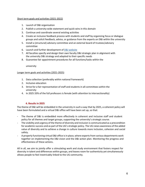#### Short term goals and activities (2021-2022)

- 1. Launch of D&I organisation
- 2. Publish a university-wide statement and quick wins in this domain
- 3. Continue and coordinate several existing activities
- 4. Create an inclusive feedback process with students and staff by organizing focus or dialogue groups and solicit feedback, advice, or guidance from the experts on D&I within the university
- 5. Install a (structural) advisory committee and an external board of trustees/advisory committee
- 6. Launch and further development of D&I website
- 7. All faculties specify and design their own faculty D&I strategic plan in alignment with the university D&I strategy and adapted to their specific needs
- 8. Guarantee fair appointment procedures for all functions/tasks within the

university

#### Longer term goals and activities (2021-2025)

- 1. Data collection (preferably within national framework)
- 2. Inclusive education
- 3. Strive for a fair representation of staff and students in all committees within the university
- 4. In 2025 33% of the full professors is female (with attention to intersectionality)

#### **4. Results in 2025**

The theme of D&I will be embedded in the university in such a way that by 2025, a coherent policy will have been formulated and a virtual D&I office will have been set up, so that:

- The theme of D&I is embedded more effectively in coherent and inclusive staff and student policy for all themes and target groups, supporting the university's strategic course.
- The visibility and urgency of the theme of diversity and inclusion is communicated as a precondition for academic success and as part of the UG's strategic policy. The UG raises awareness of the added value of diversity and to achieve a change in culture towards more inclusion, cohesion and social safety.
- A properly functioning virtual D&I office is in place, where experts from various departments work together on implementing the D&I vision and the D&I action plan. Monitoring the progress and effectiveness of these actions.

All in all, we aim to jointly offer a stimulating work and study environment that fosters respect for diversity in talent and differences within groups, and leaves room for authenticity yet simultaneously allows people to feel inextricably linked to the UG community.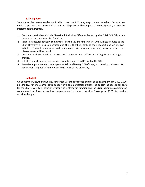#### **5. Next phase**

To advance the recommendations in this paper, the following steps should be taken. An inclusive feedback process must be created so that the D&I policy will be supported university-wide, in order to implement it thereafter.

- 1. Create a sustainable (virtual) Diversity & Inclusion Office, to be led by the Chief D&I Officer and develop a concrete year plan for 2022.
- 2. Install a structural advisory committee, like the D&I Starting Twelve, who will issue advice to the Chief Diversity & Inclusion Officer and the D&I office, both at their request and on its own initiative. Committee members will be appointed via an open procedure, so as to ensure that diverse voices will be heard.
- 3. Create an inclusive feedback process with students and staff by organizing focus or dialogue groups.
- 4. Solicit feedback, advice, or guidance from the experts on D&I within the UG.
- 5. Faculties appoint faculty contact persons D&I and faculty D&I officers, and develop their own D&I action plans, aligned with the overall D&I goals of the university.

#### **6. Budget**

On September 2nd, the University consented with the proposed budget of k€ 162.9 per year (2021-2026) plus k€ 31.7 for one year for extra support by a communication officer. The budget includes salary costs for the Chief Diversity & Inclusion Officer who is already in function and the D&I programme coordinator, communication officer, as well as compensation for chairs of working/tasks group (0.05 fte), and an activities budget.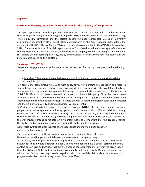#### **Appendix**

# **Portfolio of diversity and inclusion related tasks for the Diversity Office: priorities**

The agenda presented here distinguishes some aims and strategic priorities which may be realized in short term (2021-2022), others in longer term (2021-2025) and is based on discussion with the Starting Twelve advisory committee and the letters 'Facilitating underrepresented Voices at University of Groningen (September 10th, 2020), 'Recommendations' of the YAG (October 30th, 2020), the document of the D&I office of March 2020 and the interviews conducted by the CDIO (April-November, 2020). The main objective of this D&I agenda may be formulated as follows: creating a safe space for sharing experiences related to diversity and inclusion and helping to create meaningful, impactful and sustainable changes fostering diversity, equity and inclusion. Per year a more concrete action plan will be formulated based on this portfolio.

#### **Short-term (2021-2022)**

To spark an engagement with and announce the UG's support for the topic, we propose the following actions:

#### 1. Launch of D&I organisation (with the necessary allocation and organisation position to have meaningful impact)

i. A central D&I team (including a CDIO, with policy advisors in domains HR, education and research, international strategy and relations, and working closely together with the confidential advisor, ombudsperson, programme manager scientific integrity; communication expertise). It is the task of the Chief D&I officer to link these areas and implement a coherent D&I policy. Since the many current activities are scattered over the whole university and many persons, support is needed by a programme coordinator and communications officer. To create changes within the university, open communication and the visibility of diversity and inclusion initiatives are essential.

ii. Chairs for working/task groups or advocacy groups (e.g. LGTBQ+, first generation staff/students, people from minority/cultural minority groups, staff/students with different abilities, young researchers and staff: about six working groups). The chairs or all advocacy groups regularly meet with the central team and should be assigned some compensated time, funded with resources. Members of the working/task groups participate on a voluntary basis. It is important that the groups organize themselves and are open to everyone who would like to belong to the group.

Aims: Raise awareness, offer insights, share experiences and maintain open space for dialogue and organize events.

The hiring procedures for the programme coordinator, communications officer and

the chairs of working groups will take place in an open and transparent way.

iii. At faculty level: organisation form fitting to the faculty, on the condition that, first, though the Faculty Board as a whole is responsible for D&I, one member will have a special assignment and is contact person D&I, and besides, that there is a second contact person D&I lower in the organisation ('faculty D&I officer'), trusted by the faculty community and charged with D&I and integrity issues within the faculty, working closely together with the confidential advisor, ombudsperson, programme leader scientific integrity and Chief D&I Officer.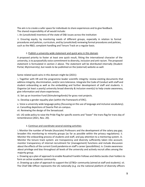The aim is to create a safer space for individuals to share experiences and to give feedback. The shared responsibility of all would include:

i. An (unsolicited) inventory of the state of D&I issues across the institution

ii. Ensuring equity, by monitoring needs of different groups, especially in relation to formal procedures and policies, curriculum, and by (unsolicited) reviewing formal procedures and policies, such as the R&O, complaint handling and Tenure Track on a regular basis.

#### 2. Publish a university-wide statement and quick wins in this domain

A proposed priority to foster at least one quick result, fitting the international character of the university, is to purposefully voice commitment to diversity, inclusion and anti-racism. The proposed statement is formulated in section 2 above. The statement will be distributed internally (Student Portal, MyUniversity), but needs to be published on the (external) website as well.

Some related quick wins in this domain might be (2021):

i. Together with HR and the programme leader scientific integrity: review existing documents that address integrity, discrimination, and/or zero tolerance. Integrate the Code of Conduct with staff and student onboarding as well as the embedding and further development of staff and students. ii. Organise (at least a yearly) university broad diversity & inclusion event(s) to help create awareness, give information and share experiences.

iii. Set up an Incentive Fund (Stimuleringsfonds) for grass root projects.

iv. Develop a gender equality plan (within the framework of ERC).

v. Voice a university wide language policy (focussing on the use of language and inclusive vocabulary).

vi. Cancelling depictions of Zwarte Piet on-campus.

vii. Reviewing the design of the Senaatszaal.

viii. UG-wide policy to raise the Pride Flag for specific events and "lower" the trans flag for trans day of remembrance (2021, Nov. 20).

# 3. Continue and coordinate several existing activities

i. Monitor the number of female (Associate) Professors and the development of the salary pay gap; broaden this monitoring to minority groups (as far as possible within the privacy regulations). ii. Monitor the onboarding process of students and staff, and pay attention to a mentoring system. iii. Monitor the tenure track system: are transparency and diversity sufficiently taken into account; monitor transparency of internal recruitment for (management) functions and include discussion about the effects of the current Covid pandemia on staff's career (possibilities). iv. Create awareness about privilege and bias throughout all levels of the university and actively recruit allies among the majority group.

v. Drawing up a plan of approach to enable Rosalind Franklin Fellows and Aletta Jacobs chair holders to form an active academic community.

vi. Drawing up a plan of approach to support the LGTBQ+ community (aimed at staff and students). vii. The Chief D&I Officer represents the UG nationally (e.g. via the national platform of diversity officers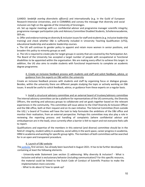(LANDO: *landelijk overleg diversiteits officers*)) and internationally (e.g. in the Guild of European Research-Intensive Universities, and in COIMBRA) and convey the message that diversity and social inclusion are high on the agenda of the University of Groningen.

viii. Set up regular meetings with a.o. confidential advisor and programme manager scientific integrity; programme manager participation jobs and Advisory Committee Disabled Students, Scholierenacademie, SER etc.

ix. Offer and endorse training on diversity & inclusion issues for staff and students (e.g. inclusive leadership training) and check whether D&I is sufficiently included in University Teaching Qualification (UTQ), educational leadership and academic leadership courses.

x. The UG will continue its gender policy to appoint and retain more women in senior positions, and broaden this policy to minority groups as well.

xi. The UG is required to create jobs for target groups in society that are covered by the Participation Act. The Board of the University has accepted a target number of people with occupational or functional disabilities to be appointed within the organisation. We are making every effort to achieve this target. In addition, the UG also aims to enable students with functional impairments to complete an academic degree programme.

### 4. Create an inclusive feedback process with students and staff and solicit feedback, advice, or guidance from the experts on D&I within the university

Create an inclusive feedback process with students and staff by organizing focus or dialogue groups. Besides, within the university there are different people studying the topic or actively working on D&I issues. It would be useful to solicit feedback, advice, or guidance from these experts on a regular basis.

5. Install a structural advisory committee and an external board of trustees/advisory committee The internal advisory committee can be a platform for representatives of the UG community, the Diversity Officers, the working and advocacy groups to collaborate and set goals together based on the relevant experiences in the community. This committee will issue advice to the Chief Diversity & Inclusion Officer and the D&I office, both at their request and on its own initiative. The External Committee (from outside the UG) / a board of Trustees will have the task to help formulate the ambitions of the D&I office and monitor their realisation, from an external perspective. Perhaps this committee may also play a role in reviewing the reporting process and handling of complaints (where confidential advisor and ombudsperson are in the lead), since currently often a barrier is felt to report and not everyone feels safe to report.

Qualifications and expertise of the members in this external (and diverse) committee should be in the field of: integrity, student safety in academia, social safety in the work space, career progress in academia, HRM in academia and working for specific group rights. The members of both committees will be searched for in an open and transparent procedure.

# 6. Launch of D&I website

The website, first version, has already been launched in August 2021. It has to be further developed, containing at least the following elements.

- University-wide Statement (see section 2) addressing: Why diversity & inclusion? - What is inclusive and what is exclusionary behavior (including communication)? For this specific resource, the material could be linked to the Dutch Code of Conduct of Scientific Practice to make the implementation more concrete.

- What to do about it/ how to speak up?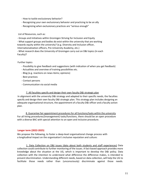- How to tackle exclusionary behavior?
- Recognizing your own exclusionary behavior and practicing to be an ally
- Recognizing when exclusionary practices are "serious enough"

#### List of Resources, such as:

- Groups and Initiatives within Groningen Striving for Inclusion and Equity - What support groups and bodies do exist within the university that are working towards equity within the university? (e.g. Diversity and Inclusion officer, Internationalization officers, Pre-University Academy, etc.)

- What research does the University of Groningen carry out on D&I topics (in each Faculty)?

#### Further topics

- Possibility to give feedback and suggestions (with indication of when you get feedback)
- Actualities and overview of training possibilities etc.
- Blog (e.g. reactions on news items; opinions)
- Best practices
- Contact persons
- Communication via social media

#### 7. All faculties specify and design their own faculty D&I strategic plan

In alignment with the university D&I strategy and adapted to their specific needs, the faculties specify and design their own faculty D&I strategic plan. This strategy plan includes designing an adequate organisational structure, the appointment of a faculty D&I officer and a faculty action plan.

8. Guarantee fair appointment procedures for all functions/tasks within the university For all hiring procedures/(management) tasks/functions, there should be an open procedure with a diverse BAC with special attention to an open and inclusive procedure.

#### **Longer term (2022-2025)**

We propose the following, to foster a deep-level organisational change process with a longitudinal impact on the organisation's inclusive reputation and culture:

1. Data Collection on D&I issues (data about both students and staff experiences) Data collection could contribute to further monitoring of the issues. A fact-based approach provides more knowledge about the situation at the UG, which is important to develop the D&I policy. Data collection with the intention to understand what difference the difference makes, is intended to prevent discrimination. Understanding different needs, based on data collection, will help the UG to facilitate those needs rather than (unconsciously) discriminate against those needs.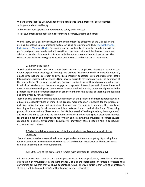We are aware that the GDPR will need to be considered in the process of data collection:

- a. In general about wellbeing
- b. For staff: about application, recruitment, salary and appraisal
- c. For students: about application, recruitment, progress, grading and career

We will carry out a baseline measurement and monitor the effectivity of the D&I policy and actions, by setting up a monitoring system or using an existing one (e.g. The Netherlands Inclusiveness Monitor (NIM)). Depending on the availability of data the monitoring will be performed yearly and yearly evaluations will be done to report about the developments. We advise to closely collaborate in this area with the advisory committee National Action Plan Diversity and Inclusion in Higher Education and Research and other Dutch universities.

#### 2. Inclusive education

Based on the vision on education, the UG will continue to emphasize diversity as an important quality aspect of our teaching and learning. We achieve this through the further development of, e.g., the international classroom and interdisciplinarity in education. Within the framework of the International Classroom Project and EQUiiP several curricula have been revised. The definition of the International Classroom is as follows: "Inclusive, active learning through a common language in which all students and lecturers engage in purposeful interactions with diverse ideas and diverse people to develop and demonstrate internationalized learning outcomes aligned with the program vision on internationalization in order to enhance the quality of teaching and learning and employability for all students."

Based on this definition and the acknowledgement of the presence of different perspectives in education, especially those of minoritized groups, more attention is needed for the process of inclusive, active learning and curriculum development. The aim is to enhance the quality of teaching and learning for all students, and thus make curricula more inclusive for all. Via existing projects like International Classroom and EQUiiP, but also the Teaching Academy Groningen, YAG and YARN, we aim to continue the dialogue on inclusion in education. Special attention is needed for the combination of initiatives and for synergy, and reviewing the university's progress toward creating an inclusive environment. Faculties will inevitably have a leading role in curriculum assessment and revision.

# 3. Strive for a fair representation of staff and students in all committees within the university

Committees should represent the diverse target audience they are targeting. By striving for a fair representation in committees the diverse staff and student population will be heard, which can lead to a more inclusive environment.

# 4. In 2025 33% of the professors is female (with attention to intersectionality)

All Dutch universities have to set a target percentage of female professors, according to the VSNU (Association of Universities in the Netherlands). This is the percentage of female professors that universities believe that they will have appointed by 2025. The UG's target is that 33% of all professors at the UG will be female by 2025, with attention to intersectionality.